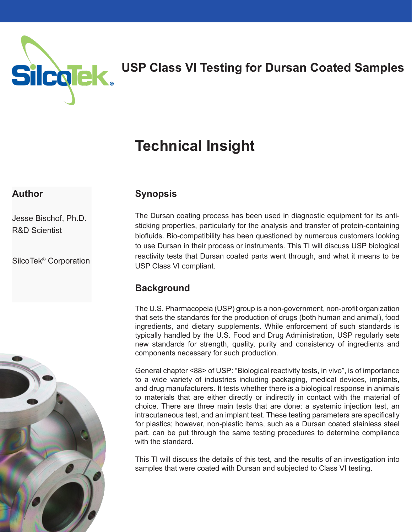

## **USP Class VI Testing for Dursan Coated Samples**

# **Technical Insight**

#### **Author**

Jesse Bischof, Ph.D. R&D Scientist

SilcoTek® Corporation



## **Synopsis**

The Dursan coating process has been used in diagnostic equipment for its antisticking properties, particularly for the analysis and transfer of protein-containing biofluids. Bio-compatibility has been questioned by numerous customers looking to use Dursan in their process or instruments. This TI will discuss USP biological reactivity tests that Dursan coated parts went through, and what it means to be USP Class VI compliant.

## **Background**

The U.S. Pharmacopeia (USP) group is a non-government, non-profit organization that sets the standards for the production of drugs (both human and animal), food ingredients, and dietary supplements. While enforcement of such standards is typically handled by the U.S. Food and Drug Administration, USP regularly sets new standards for strength, quality, purity and consistency of ingredients and components necessary for such production.

General chapter <88> of USP: "Biological reactivity tests, in vivo", is of importance to a wide variety of industries including packaging, medical devices, implants, and drug manufacturers. It tests whether there is a biological response in animals to materials that are either directly or indirectly in contact with the material of choice. There are three main tests that are done: a systemic injection test, an intracutaneous test, and an implant test. These testing parameters are specifically for plastics; however, non-plastic items, such as a Dursan coated stainless steel part, can be put through the same testing procedures to determine compliance with the standard.

This TI will discuss the details of this test, and the results of an investigation into samples that were coated with Dursan and subjected to Class VI testing.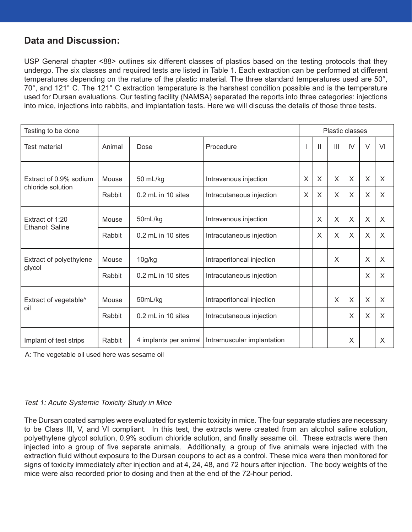#### **Data and Discussion:**

USP General chapter <88> outlines six different classes of plastics based on the testing protocols that they undergo. The six classes and required tests are listed in Table 1. Each extraction can be performed at different temperatures depending on the nature of the plastic material. The three standard temperatures used are 50°, 70°, and 121° C. The 121° C extraction temperature is the harshest condition possible and is the temperature used for Dursan evaluations. Our testing facility (NAMSA) separated the reports into three categories: injections into mice, injections into rabbits, and implantation tests. Here we will discuss the details of those three tests.

| Testing to be done                          |        |                    |                                                    | <b>Plastic classes</b> |              |                |          |        |          |
|---------------------------------------------|--------|--------------------|----------------------------------------------------|------------------------|--------------|----------------|----------|--------|----------|
| Test material                               | Animal | Dose               | Procedure                                          |                        | $\mathbf{H}$ | $\mathbf{III}$ | IV       | $\vee$ | VI       |
| Extract of 0.9% sodium<br>chloride solution | Mouse  | 50 mL/kg           | Intravenous injection                              | X                      | $\times$     | $\times$       | X        | X      | X        |
|                                             | Rabbit | 0.2 mL in 10 sites | Intracutaneous injection                           | $\times$               | $\mathsf{X}$ | $\times$       | X        | X      | X        |
| Extract of 1:20<br>Ethanol: Saline          | Mouse  | 50mL/kg            | Intravenous injection                              |                        | $\times$     | X              | X        | X      | X        |
|                                             | Rabbit | 0.2 mL in 10 sites | Intracutaneous injection                           |                        | $\mathsf{X}$ | X              | X        | X      | $\times$ |
| Extract of polyethylene<br>glycol           | Mouse  | 10g/kg             | Intraperitoneal injection                          |                        |              | X              |          | X      | X        |
|                                             | Rabbit | 0.2 mL in 10 sites | Intracutaneous injection                           |                        |              |                |          | X      | X        |
| Extract of vegetable <sup>A</sup><br>oil    | Mouse  | 50mL/kg            | Intraperitoneal injection                          |                        |              | X              | $\times$ | X      | X        |
|                                             | Rabbit | 0.2 mL in 10 sites | Intracutaneous injection                           |                        |              |                | X        | X      | X        |
| Implant of test strips                      | Rabbit |                    | 4 implants per animal   Intramuscular implantation |                        |              |                | X        |        | X        |

A: The vegetable oil used here was sesame oil

#### *Test 1: Acute Systemic Toxicity Study in Mice*

The Dursan coated samples were evaluated for systemic toxicity in mice. The four separate studies are necessary to be Class III, V, and VI compliant. In this test, the extracts were created from an alcohol saline solution, polyethylene glycol solution, 0.9% sodium chloride solution, and finally sesame oil. These extracts were then injected into a group of five separate animals. Additionally, a group of five animals were injected with the extraction fluid without exposure to the Dursan coupons to act as a control. These mice were then monitored for signs of toxicity immediately after injection and at 4, 24, 48, and 72 hours after injection. The body weights of the mice were also recorded prior to dosing and then at the end of the 72-hour period.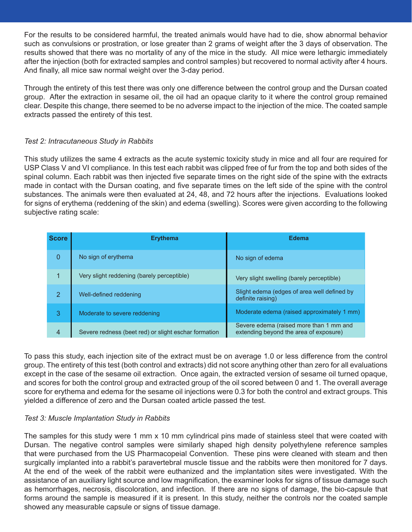For the results to be considered harmful, the treated animals would have had to die, show abnormal behavior such as convulsions or prostration, or lose greater than 2 grams of weight after the 3 days of observation. The results showed that there was no mortality of any of the mice in the study. All mice were lethargic immediately after the injection (both for extracted samples and control samples) but recovered to normal activity after 4 hours. And finally, all mice saw normal weight over the 3-day period.

Through the entirety of this test there was only one difference between the control group and the Dursan coated group. After the extraction in sesame oil, the oil had an opaque clarity to it where the control group remained clear. Despite this change, there seemed to be no adverse impact to the injection of the mice. The coated sample extracts passed the entirety of this test.

#### *Test 2: Intracutaneous Study in Rabbits*

This study utilizes the same 4 extracts as the acute systemic toxicity study in mice and all four are required for USP Class V and VI compliance. In this test each rabbit was clipped free of fur from the top and both sides of the spinal column. Each rabbit was then injected five separate times on the right side of the spine with the extracts made in contact with the Dursan coating, and five separate times on the left side of the spine with the control substances. The animals were then evaluated at 24, 48, and 72 hours after the injections. Evaluations looked for signs of erythema (reddening of the skin) and edema (swelling). Scores were given according to the following subjective rating scale:

| <b>Score</b>   | <b>Erythema</b>                                      | <b>Edema</b>                                                                      |
|----------------|------------------------------------------------------|-----------------------------------------------------------------------------------|
| 0              | No sign of erythema                                  | No sign of edema                                                                  |
| 1              | Very slight reddening (barely perceptible)           | Very slight swelling (barely perceptible)                                         |
| $\overline{2}$ | Well-defined reddening                               | Slight edema (edges of area well defined by<br>definite raising)                  |
| 3              | Moderate to severe reddening                         | Moderate edema (raised approximately 1 mm)                                        |
| 4              | Severe redness (beet red) or slight eschar formation | Severe edema (raised more than 1 mm and<br>extending beyond the area of exposure) |

To pass this study, each injection site of the extract must be on average 1.0 or less difference from the control group. The entirety of this test (both control and extracts) did not score anything other than zero for all evaluations except in the case of the sesame oil extraction. Once again, the extracted version of sesame oil turned opaque, and scores for both the control group and extracted group of the oil scored between 0 and 1. The overall average score for erythema and edema for the sesame oil injections were 0.3 for both the control and extract groups. This yielded a difference of zero and the Dursan coated article passed the test.

#### *Test 3: Muscle Implantation Study in Rabbits*

The samples for this study were 1 mm x 10 mm cylindrical pins made of stainless steel that were coated with Dursan. The negative control samples were similarly shaped high density polyethylene reference samples that were purchased from the US Pharmacopeial Convention. These pins were cleaned with steam and then surgically implanted into a rabbit's paravertebral muscle tissue and the rabbits were then monitored for 7 days. At the end of the week of the rabbit were euthanized and the implantation sites were investigated. With the assistance of an auxiliary light source and low magnification, the examiner looks for signs of tissue damage such as hemorrhages, necrosis, discoloration, and infection. If there are no signs of damage, the bio-capsule that forms around the sample is measured if it is present. In this study, neither the controls nor the coated sample showed any measurable capsule or signs of tissue damage.